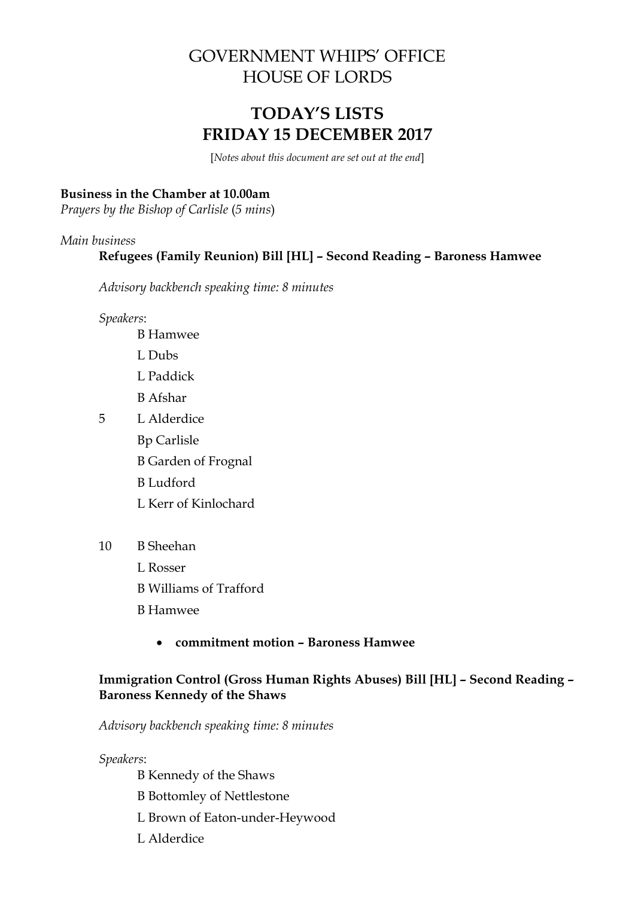# GOVERNMENT WHIPS' OFFICE HOUSE OF LORDS

# **TODAY'S LISTS FRIDAY 15 DECEMBER 2017**

[*Notes about this document are set out at the end*]

#### **Business in the Chamber at 10.00am**

*Prayers by the Bishop of Carlisle* (*5 mins*)

#### *Main business*

### **Refugees (Family Reunion) Bill [HL] – Second Reading – Baroness Hamwee**

*Advisory backbench speaking time: 8 minutes*

*Speakers*:

- B Hamwee L Dubs L Paddick B Afshar 5 L Alderdice Bp Carlisle B Garden of Frognal B Ludford
	- L Kerr of Kinlochard
- 10 B Sheehan
	- L Rosser
	- B Williams of Trafford
	- B Hamwee
		- **commitment motion – Baroness Hamwee**

#### **Immigration Control (Gross Human Rights Abuses) Bill [HL] – Second Reading – Baroness Kennedy of the Shaws**

*Advisory backbench speaking time: 8 minutes*

*Speakers*:

B Kennedy of the Shaws B Bottomley of Nettlestone L Brown of Eaton-under-Heywood L Alderdice